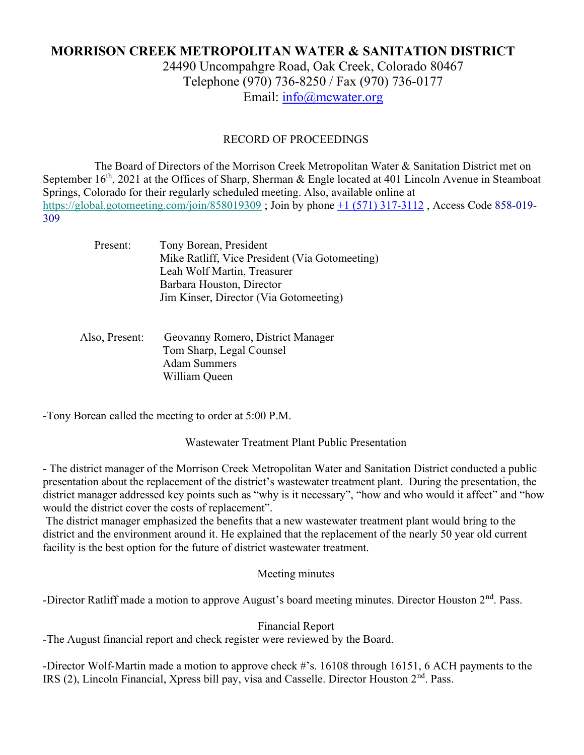# MORRISON CREEK METROPOLITAN WATER & SANITATION DISTRICT

24490 Uncompahgre Road, Oak Creek, Colorado 80467 Telephone (970) 736-8250 / Fax (970) 736-0177 Email: info@mcwater.org

### RECORD OF PROCEEDINGS

 The Board of Directors of the Morrison Creek Metropolitan Water & Sanitation District met on September 16<sup>th</sup>, 2021 at the Offices of Sharp, Sherman & Engle located at 401 Lincoln Avenue in Steamboat Springs, Colorado for their regularly scheduled meeting. Also, available online at https://global.gotomeeting.com/join/858019309 ; Join by phone +1 (571) 317-3112 , Access Code 858-019- 309

| Present: | Tony Borean, President                         |
|----------|------------------------------------------------|
|          | Mike Ratliff, Vice President (Via Gotomeeting) |
|          | Leah Wolf Martin, Treasurer                    |
|          | Barbara Houston, Director                      |
|          | Jim Kinser, Director (Via Gotomeeting)         |
|          |                                                |

### Also, Present: Geovanny Romero, District Manager Tom Sharp, Legal Counsel Adam Summers William Queen

-Tony Borean called the meeting to order at 5:00 P.M.

Wastewater Treatment Plant Public Presentation

- The district manager of the Morrison Creek Metropolitan Water and Sanitation District conducted a public presentation about the replacement of the district's wastewater treatment plant. During the presentation, the district manager addressed key points such as "why is it necessary", "how and who would it affect" and "how would the district cover the costs of replacement".

 The district manager emphasized the benefits that a new wastewater treatment plant would bring to the district and the environment around it. He explained that the replacement of the nearly 50 year old current facility is the best option for the future of district wastewater treatment.

### Meeting minutes

-Director Ratliff made a motion to approve August's board meeting minutes. Director Houston 2<sup>nd</sup>. Pass.

#### Financial Report

-The August financial report and check register were reviewed by the Board.

-Director Wolf-Martin made a motion to approve check #'s. 16108 through 16151, 6 ACH payments to the IRS (2), Lincoln Financial, Xpress bill pay, visa and Casselle. Director Houston 2<sup>nd</sup>. Pass.